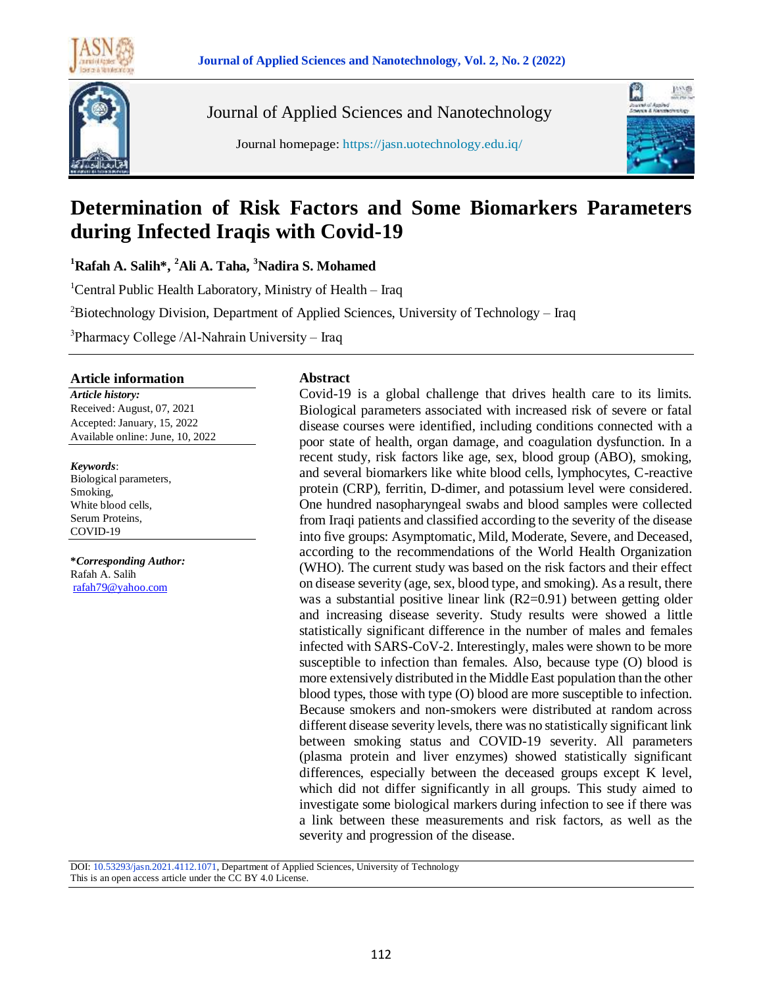

Journal of Applied Sciences and Nanotechnology

Journal homepage: https://jasn.uotechnology.edu.iq/



# **Determination of Risk Factors and Some Biomarkers Parameters during Infected Iraqis with Covid-19**

**<sup>1</sup>Rafah A. Salih\*, <sup>2</sup>Ali A. Taha, <sup>3</sup>Nadira S. Mohamed**

<sup>1</sup>Central Public Health Laboratory, Ministry of Health – Iraq

 ${}^{2}$ Biotechnology Division, Department of Applied Sciences, University of Technology – Iraq

<sup>3</sup>Pharmacy College /Al-Nahrain University - Iraq

#### **Article information**

*Article history:* Received: August, 07, 2021 Accepted: January, 15, 2022 Available online: June, 10, 2022

*Keywords*: Biological parameters, Smoking, White blood cells, Serum Proteins,

COVID-19

**\****Corresponding Author:* Rafah A. Salih [rafah79@yahoo.com](mailto:rafah79@yahoo.com)

#### **Abstract**

Covid-19 is a global challenge that drives health care to its limits. Biological parameters associated with increased risk of severe or fatal disease courses were identified, including conditions connected with a poor state of health, organ damage, and coagulation dysfunction. In a recent study, risk factors like age, sex, blood group (ABO), smoking, and several biomarkers like white blood cells, lymphocytes, C-reactive protein (CRP), ferritin, D-dimer, and potassium level were considered. One hundred nasopharyngeal swabs and blood samples were collected from Iraqi patients and classified according to the severity of the disease into five groups: Asymptomatic, Mild, Moderate, Severe, and Deceased, according to the recommendations of the World Health Organization (WHO). The current study was based on the risk factors and their effect on disease severity (age, sex, blood type, and smoking). As a result, there was a substantial positive linear link (R2=0.91) between getting older and increasing disease severity. Study results were showed a little statistically significant difference in the number of males and females infected with SARS-CoV-2. Interestingly, males were shown to be more susceptible to infection than females. Also, because type (O) blood is more extensively distributed in the Middle East population than the other blood types, those with type (O) blood are more susceptible to infection. Because smokers and non-smokers were distributed at random across different disease severity levels, there was no statistically significant link between smoking status and COVID-19 severity. All parameters (plasma protein and liver enzymes) showed statistically significant differences, especially between the deceased groups except K level, which did not differ significantly in all groups. This study aimed to investigate some biological markers during infection to see if there was a link between these measurements and risk factors, as well as the severity and progression of the disease.

DOI: 10.53293/jasn.2021.4112.1071, Department of Applied Sciences, University of Technology This is an open access article under the CC BY 4.0 License.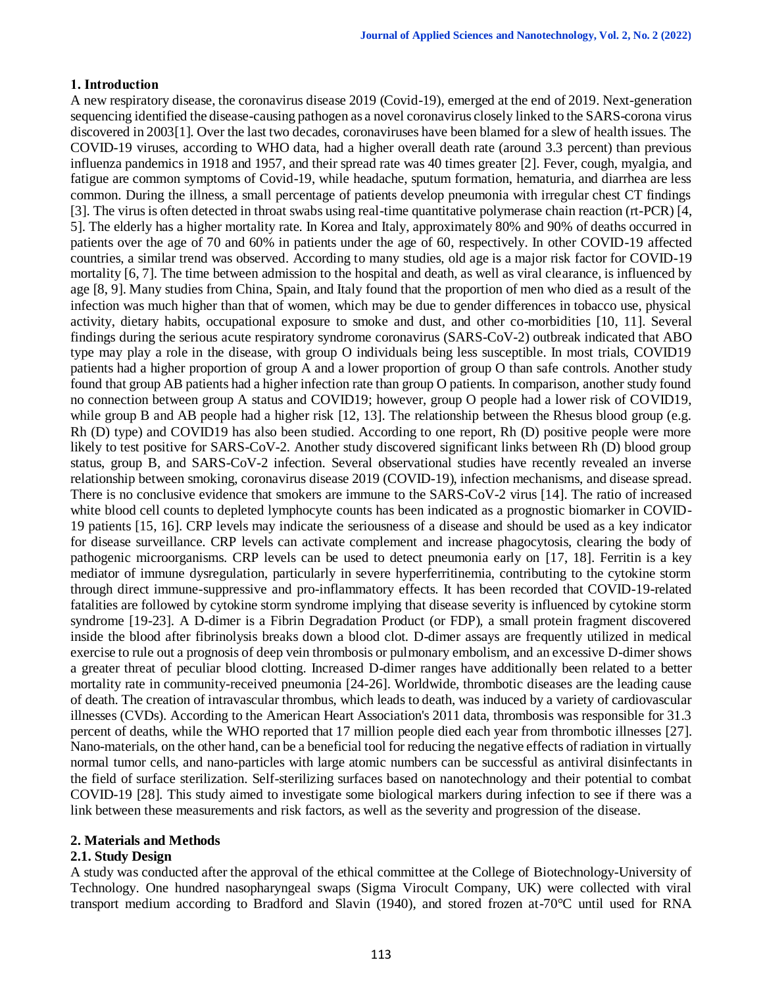# **1. Introduction**

A new respiratory disease, the coronavirus disease 2019 (Covid-19), emerged at the end of 2019. Next-generation sequencing identified the disease-causing pathogen as a novel coronavirus closely linked to the SARS-corona virus discovered in 2003[1]. Over the last two decades, coronaviruses have been blamed for a slew of health issues. The COVID-19 viruses, according to WHO data, had a higher overall death rate (around 3.3 percent) than previous influenza pandemics in 1918 and 1957, and their spread rate was 40 times greater [2]. Fever, cough, myalgia, and fatigue are common symptoms of Covid-19, while headache, sputum formation, hematuria, and diarrhea are less common. During the illness, a small percentage of patients develop pneumonia with irregular chest CT findings [3]. The virus is often detected in throat swabs using real-time quantitative polymerase chain reaction (rt-PCR) [4, 5]. The elderly has a higher mortality rate. In Korea and Italy, approximately 80% and 90% of deaths occurred in patients over the age of 70 and 60% in patients under the age of 60, respectively. In other COVID-19 affected countries, a similar trend was observed. According to many studies, old age is a major risk factor for COVID-19 mortality [6, 7]. The time between admission to the hospital and death, as well as viral clearance, is influenced by age [8, 9]. Many studies from China, Spain, and Italy found that the proportion of men who died as a result of the infection was much higher than that of women, which may be due to gender differences in tobacco use, physical activity, dietary habits, occupational exposure to smoke and dust, and other co-morbidities [10, 11]. Several findings during the serious acute respiratory syndrome coronavirus (SARS-CoV-2) outbreak indicated that ABO type may play a role in the disease, with group O individuals being less susceptible. In most trials, COVID19 patients had a higher proportion of group A and a lower proportion of group O than safe controls. Another study found that group AB patients had a higher infection rate than group O patients. In comparison, another study found no connection between group A status and COVID19; however, group O people had a lower risk of COVID19, while group B and AB people had a higher risk [12, 13]. The relationship between the Rhesus blood group (e.g. Rh (D) type) and COVID19 has also been studied. According to one report, Rh (D) positive people were more likely to test positive for SARS-CoV-2. Another study discovered significant links between Rh (D) blood group status, group B, and SARS-CoV-2 infection. Several observational studies have recently revealed an inverse relationship between smoking, coronavirus disease 2019 (COVID-19), infection mechanisms, and disease spread. There is no conclusive evidence that smokers are immune to the SARS-CoV-2 virus [14]. The ratio of increased white blood cell counts to depleted lymphocyte counts has been indicated as a prognostic biomarker in COVID-19 patients [15, 16]. CRP levels may indicate the seriousness of a disease and should be used as a key indicator for disease surveillance. CRP levels can activate complement and increase phagocytosis, clearing the body of pathogenic microorganisms. CRP levels can be used to detect pneumonia early on [17, 18]. Ferritin is a key mediator of immune dysregulation, particularly in severe hyperferritinemia, contributing to the cytokine storm through direct immune-suppressive and pro-inflammatory effects. It has been recorded that COVID-19-related fatalities are followed by cytokine storm syndrome implying that disease severity is influenced by cytokine storm syndrome [19-23]. A D-dimer is a Fibrin Degradation Product (or FDP), a small protein fragment discovered inside the blood after fibrinolysis breaks down a blood clot. D-dimer assays are frequently utilized in medical exercise to rule out a prognosis of deep vein thrombosis or pulmonary embolism, and an excessive D-dimer shows a greater threat of peculiar blood clotting. Increased D-dimer ranges have additionally been related to a better mortality rate in community-received pneumonia [24-26]. Worldwide, thrombotic diseases are the leading cause of death. The creation of intravascular thrombus, which leads to death, was induced by a variety of cardiovascular illnesses (CVDs). According to the American Heart Association's 2011 data, thrombosis was responsible for 31.3 percent of deaths, while the WHO reported that 17 million people died each year from thrombotic illnesses [27]. Nano-materials, on the other hand, can be a beneficial tool for reducing the negative effects of radiation in virtually normal tumor cells, and nano-particles with large atomic numbers can be successful as antiviral disinfectants in the field of surface sterilization. Self-sterilizing surfaces based on nanotechnology and their potential to combat COVID-19 [28]. This study aimed to investigate some biological markers during infection to see if there was a link between these measurements and risk factors, as well as the severity and progression of the disease.

# **2. Materials and Methods**

# **2.1. Study Design**

A study was conducted after the approval of the ethical committee at the College of Biotechnology-University of Technology. One hundred nasopharyngeal swaps (Sigma Virocult Company, UK) were collected with viral transport medium according to Bradford and Slavin (1940), and stored frozen at-70°C until used for RNA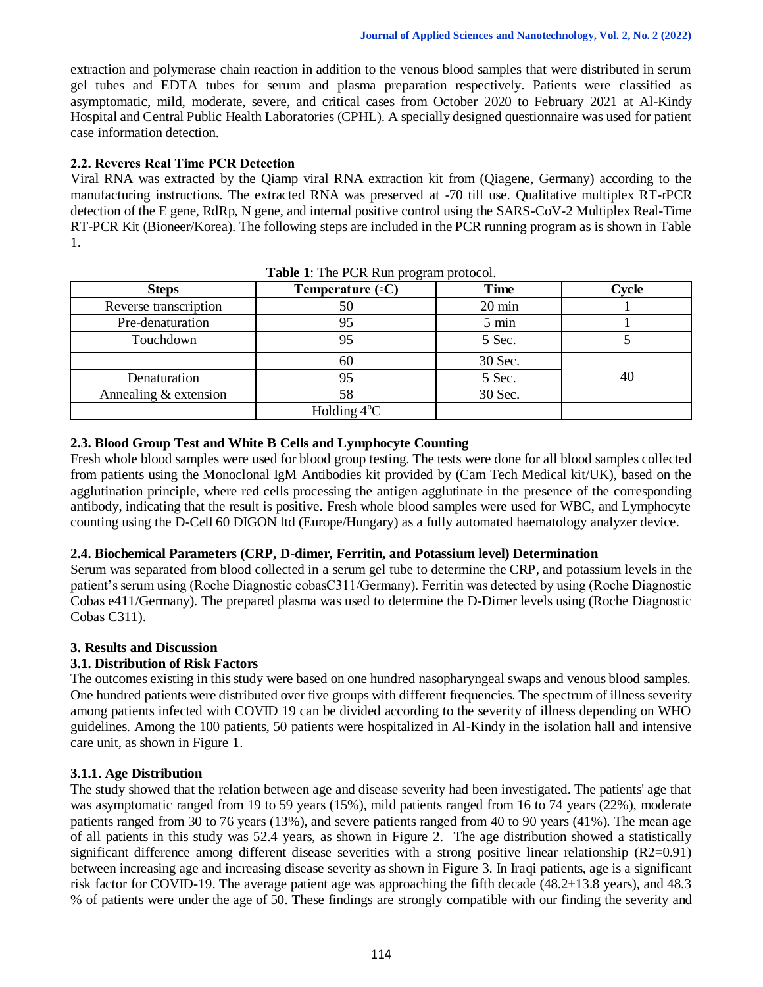extraction and polymerase chain reaction in addition to the venous blood samples that were distributed in serum gel tubes and EDTA tubes for serum and plasma preparation respectively. Patients were classified as asymptomatic, mild, moderate, severe, and critical cases from October 2020 to February 2021 at Al-Kindy Hospital and Central Public Health Laboratories (CPHL). A specially designed questionnaire was used for patient case information detection.

# **2.2. Reveres Real Time PCR Detection**

Viral RNA was extracted by the Qiamp viral RNA extraction kit from (Qiagene, Germany) according to the manufacturing instructions. The extracted RNA was preserved at -70 till use. Qualitative multiplex RT-rPCR detection of the E gene, RdRp, N gene, and internal positive control using the SARS-CoV-2 Multiplex Real-Time RT-PCR Kit (Bioneer/Korea). The following steps are included in the PCR running program as is shown in Table 1.

| <b>Steps</b>          | Temperature $(\circ C)$ | r - - <del>o - ----</del> r - - - -<br><b>Time</b> | Cycle |
|-----------------------|-------------------------|----------------------------------------------------|-------|
| Reverse transcription | 50                      | $20 \text{ min}$                                   |       |
| Pre-denaturation      | 95                      | 5 min                                              |       |
| Touchdown             | 95                      | 5 Sec.                                             |       |
|                       | 60                      | 30 Sec.                                            |       |
| Denaturation          | 95                      | 5 Sec.                                             | 40    |
| Annealing & extension | 58                      | 30 Sec.                                            |       |
|                       | Holding $4^{\circ}$ C   |                                                    |       |

**Table 1**: The PCR Run program protocol.

## **2.3. Blood Group Test and White B Cells and Lymphocyte Counting**

Fresh whole blood samples were used for blood group testing. The tests were done for all blood samples collected from patients using the Monoclonal IgM Antibodies kit provided by (Cam Tech Medical kit/UK), based on the agglutination principle, where red cells processing the antigen agglutinate in the presence of the corresponding antibody, indicating that the result is positive. Fresh whole blood samples were used for WBC, and Lymphocyte counting using the D-Cell 60 DIGON ltd (Europe/Hungary) as a fully automated haematology analyzer device.

#### **2.4. Biochemical Parameters (CRP, D-dimer, Ferritin, and Potassium level) Determination**

Serum was separated from blood collected in a serum gel tube to determine the CRP, and potassium levels in the patient's serum using (Roche Diagnostic cobasC311/Germany). Ferritin was detected by using (Roche Diagnostic Cobas e411/Germany). The prepared plasma was used to determine the D-Dimer levels using (Roche Diagnostic Cobas C311).

# **3. Results and Discussion**

# **3.1. Distribution of Risk Factors**

The outcomes existing in this study were based on one hundred nasopharyngeal swaps and venous blood samples. One hundred patients were distributed over five groups with different frequencies. The spectrum of illness severity among patients infected with COVID 19 can be divided according to the severity of illness depending on WHO guidelines. Among the 100 patients, 50 patients were hospitalized in Al-Kindy in the isolation hall and intensive care unit, as shown in Figure 1.

# **3.1.1. Age Distribution**

The study showed that the relation between age and disease severity had been investigated. The patients' age that was asymptomatic ranged from 19 to 59 years (15%), mild patients ranged from 16 to 74 years (22%), moderate patients ranged from 30 to 76 years (13%), and severe patients ranged from 40 to 90 years (41%). The mean age of all patients in this study was 52.4 years, as shown in Figure 2. The age distribution showed a statistically significant difference among different disease severities with a strong positive linear relationship (R2=0.91) between increasing age and increasing disease severity as shown in Figure 3. In Iraqi patients, age is a significant risk factor for COVID-19. The average patient age was approaching the fifth decade (48.2±13.8 years), and 48.3 % of patients were under the age of 50. These findings are strongly compatible with our finding the severity and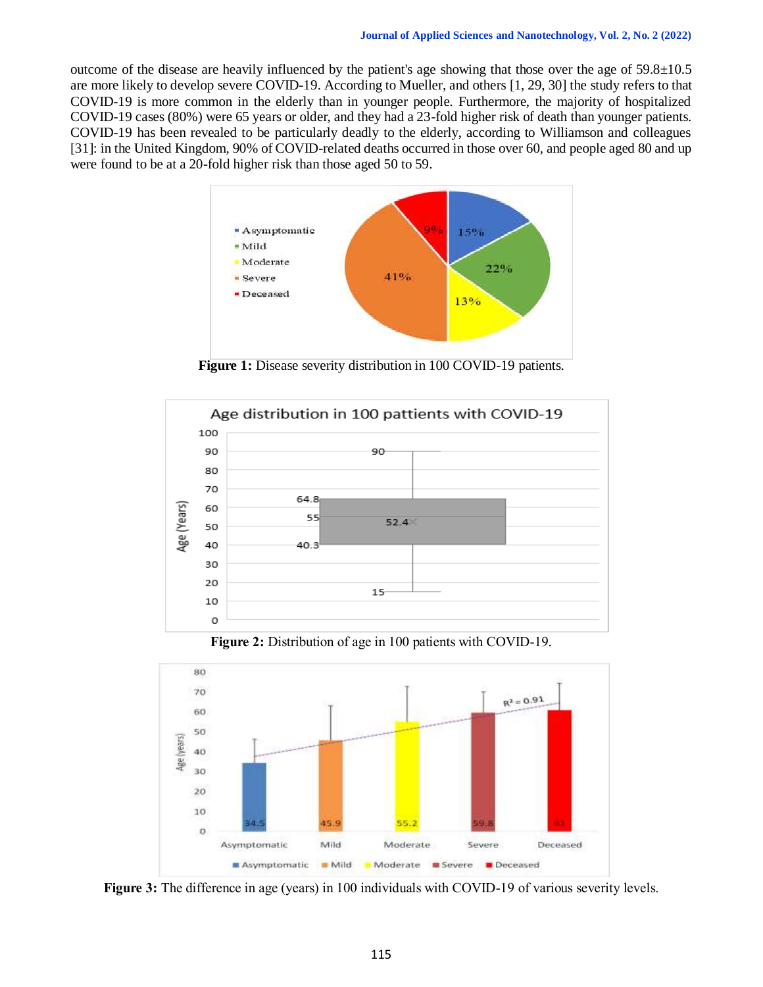outcome of the disease are heavily influenced by the patient's age showing that those over the age of  $59.8\pm10.5$ are more likely to develop severe COVID-19. According to Mueller, and others [1, 29, 30] the study refers to that COVID-19 is more common in the elderly than in younger people. Furthermore, the majority of hospitalized COVID-19 cases (80%) were 65 years or older, and they had a 23-fold higher risk of death than younger patients. COVID-19 has been revealed to be particularly deadly to the elderly, according to Williamson and colleagues [31]: in the United Kingdom, 90% of COVID-related deaths occurred in those over 60, and people aged 80 and up were found to be at a 20-fold higher risk than those aged 50 to 59.



**Figure 1:** Disease severity distribution in 100 COVID-19 patients.



**Figure 2:** Distribution of age in 100 patients with COVID-19.



**Figure 3:** The difference in age (years) in 100 individuals with COVID-19 of various severity levels.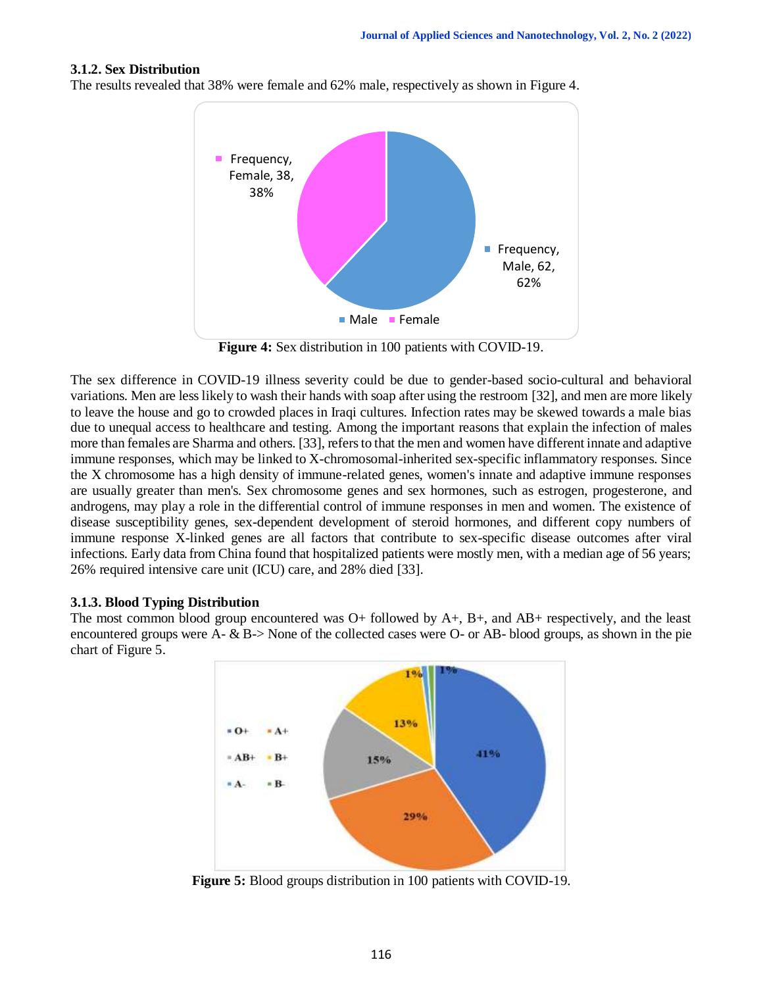## **3.1.2. Sex Distribution**

The results revealed that 38% were female and 62% male, respectively as shown in Figure 4.



**Figure 4:** Sex distribution in 100 patients with COVID-19.

The sex difference in COVID-19 illness severity could be due to gender-based socio-cultural and behavioral variations. Men are less likely to wash their hands with soap after using the restroom [32], and men are more likely to leave the house and go to crowded places in Iraqi cultures. Infection rates may be skewed towards a male bias due to unequal access to healthcare and testing. Among the important reasons that explain the infection of males more than females are Sharma and others. [33], refers to that the men and women have different innate and adaptive immune responses, which may be linked to X-chromosomal-inherited sex-specific inflammatory responses. Since the X chromosome has a high density of immune-related genes, women's innate and adaptive immune responses are usually greater than men's. Sex chromosome genes and sex hormones, such as estrogen, progesterone, and androgens, may play a role in the differential control of immune responses in men and women. The existence of disease susceptibility genes, sex-dependent development of steroid hormones, and different copy numbers of immune response X-linked genes are all factors that contribute to sex-specific disease outcomes after viral infections. Early data from China found that hospitalized patients were mostly men, with a median age of 56 years; 26% required intensive care unit (ICU) care, and 28% died [33].

#### **3.1.3. Blood Typing Distribution**

The most common blood group encountered was  $O+$  followed by  $A+$ ,  $B+$ , and  $AB+$  respectively, and the least encountered groups were A- & B-> None of the collected cases were O- or AB- blood groups, as shown in the pie chart of Figure 5.



**Figure 5:** Blood groups distribution in 100 patients with COVID-19.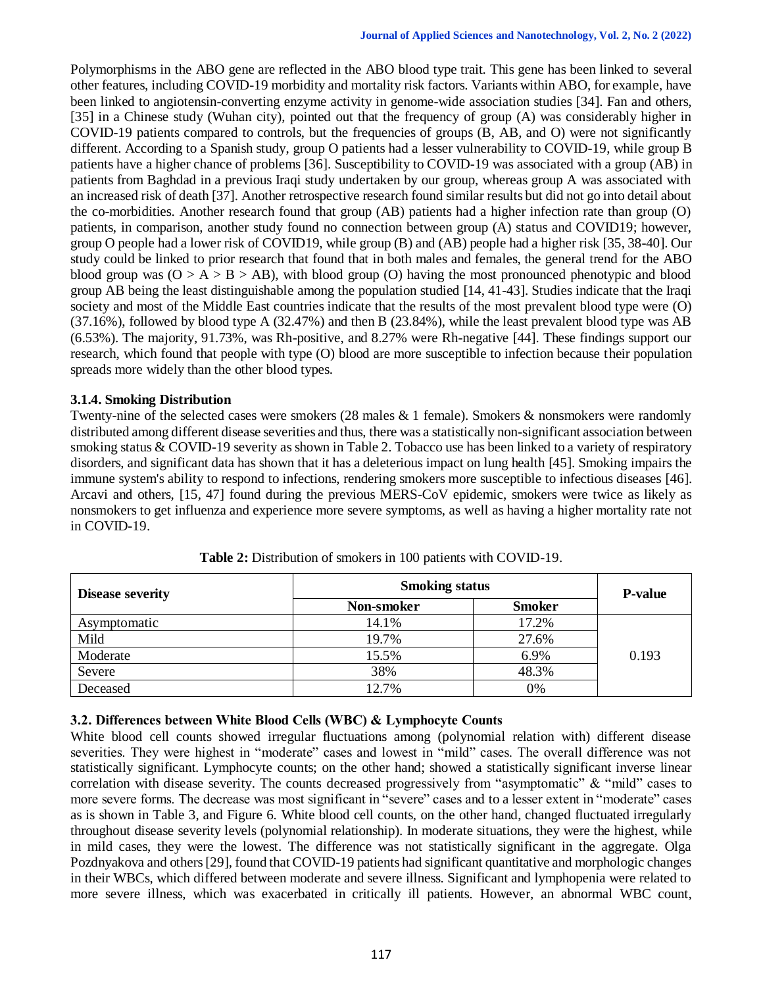Polymorphisms in the ABO gene are reflected in the ABO blood type trait. This gene has been linked to several other features, including COVID-19 morbidity and mortality risk factors. Variants within ABO, for example, have been linked to angiotensin-converting enzyme activity in genome-wide association studies [34]. Fan and others, [35] in a Chinese study (Wuhan city), pointed out that the frequency of group (A) was considerably higher in COVID-19 patients compared to controls, but the frequencies of groups (B, AB, and O) were not significantly different. According to a Spanish study, group O patients had a lesser vulnerability to COVID-19, while group B patients have a higher chance of problems [36]. Susceptibility to COVID-19 was associated with a group (AB) in patients from Baghdad in a previous Iraqi study undertaken by our group, whereas group A was associated with an increased risk of death [37]. Another retrospective research found similar results but did not go into detail about the co-morbidities. Another research found that group (AB) patients had a higher infection rate than group (O) patients, in comparison, another study found no connection between group (A) status and COVID19; however, group O people had a lower risk of COVID19, while group (B) and (AB) people had a higher risk [35, 38-40]. Our study could be linked to prior research that found that in both males and females, the general trend for the ABO blood group was  $(O > A > B > AB)$ , with blood group (O) having the most pronounced phenotypic and blood group AB being the least distinguishable among the population studied [14, 41-43]. Studies indicate that the Iraqi society and most of the Middle East countries indicate that the results of the most prevalent blood type were (O) (37.16%), followed by blood type A (32.47%) and then B (23.84%), while the least prevalent blood type was AB (6.53%). The majority, 91.73%, was Rh-positive, and 8.27% were Rh-negative [44]. These findings support our research, which found that people with type (O) blood are more susceptible to infection because their population spreads more widely than the other blood types.

## **3.1.4. Smoking Distribution**

Twenty-nine of the selected cases were smokers (28 males & 1 female). Smokers & nonsmokers were randomly distributed among different disease severities and thus, there was a statistically non-significant association between smoking status & COVID-19 severity as shown in Table 2. Tobacco use has been linked to a variety of respiratory disorders, and significant data has shown that it has a deleterious impact on lung health [45]. Smoking impairs the immune system's ability to respond to infections, rendering smokers more susceptible to infectious diseases [46]. Arcavi and others, [15, 47] found during the previous MERS-CoV epidemic, smokers were twice as likely as nonsmokers to get influenza and experience more severe symptoms, as well as having a higher mortality rate not in COVID-19.

| <b>Disease severity</b> | <b>Smoking status</b> |               | <b>P-value</b> |
|-------------------------|-----------------------|---------------|----------------|
|                         | Non-smoker            | <b>Smoker</b> |                |
| Asymptomatic            | 14.1%                 | 17.2%         |                |
| Mild                    | 19.7%                 | 27.6%         |                |
| Moderate                | 15.5%                 | 6.9%          | 0.193          |
| Severe                  | 38%                   | 48.3%         |                |
| Deceased                | 12.7%                 | 0%            |                |

**Table 2:** Distribution of smokers in 100 patients with COVID-19.

# **3.2. Differences between White Blood Cells (WBC) & Lymphocyte Counts**

White blood cell counts showed irregular fluctuations among (polynomial relation with) different disease severities. They were highest in "moderate" cases and lowest in "mild" cases. The overall difference was not statistically significant. Lymphocyte counts; on the other hand; showed a statistically significant inverse linear correlation with disease severity. The counts decreased progressively from "asymptomatic" & "mild" cases to more severe forms. The decrease was most significant in "severe" cases and to a lesser extent in "moderate" cases as is shown in Table 3, and Figure 6. White blood cell counts, on the other hand, changed fluctuated irregularly throughout disease severity levels (polynomial relationship). In moderate situations, they were the highest, while in mild cases, they were the lowest. The difference was not statistically significant in the aggregate. Olga Pozdnyakova and others [29], found that COVID-19 patients had significant quantitative and morphologic changes in their WBCs, which differed between moderate and severe illness. Significant and lymphopenia were related to more severe illness, which was exacerbated in critically ill patients. However, an abnormal WBC count,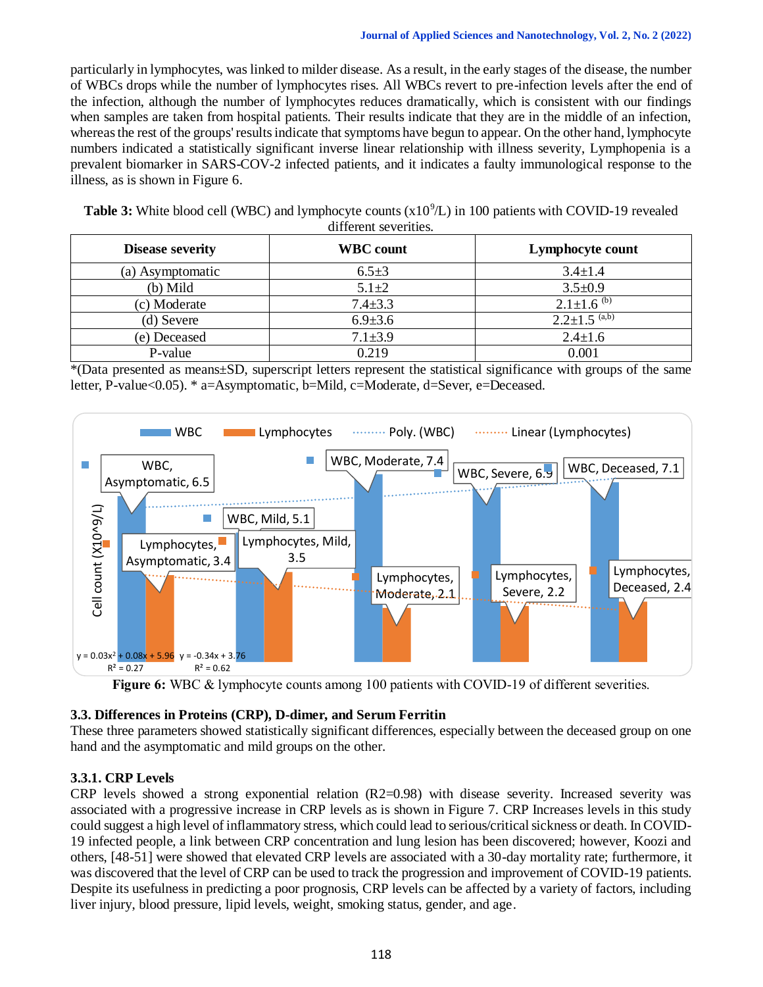particularly in lymphocytes, was linked to milder disease. As a result, in the early stages of the disease, the number of WBCs drops while the number of lymphocytes rises. All WBCs revert to pre-infection levels after the end of the infection, although the number of lymphocytes reduces dramatically, which is consistent with our findings when samples are taken from hospital patients. Their results indicate that they are in the middle of an infection, whereas the rest of the groups' results indicate that symptoms have begun to appear. On the other hand, lymphocyte numbers indicated a statistically significant inverse linear relationship with illness severity, Lymphopenia is a prevalent biomarker in SARS-COV-2 infected patients, and it indicates a faulty immunological response to the illness, as is shown in Figure 6.

Table 3: White blood cell (WBC) and lymphocyte counts (x10<sup>9</sup>/L) in 100 patients with COVID-19 revealed different severities.

| <b>Disease severity</b> | <b>WBC</b> count | Lymphocyte count                 |
|-------------------------|------------------|----------------------------------|
| (a) Asymptomatic        | $6.5 \pm 3$      | $3.4 \pm 1.4$                    |
| (b) Mild                | $5.1 + 2$        | $3.5 \pm 0.9$                    |
| (c) Moderate            | $7.4 \pm 3.3$    | $2.1 \pm 1.6$ <sup>(b)</sup>     |
| (d) Severe              | $6.9{\pm}3.6$    | $2.2 \pm 1.5^{(a,\overline{b})}$ |
| (e) Deceased            | $7.1 \pm 3.9$    | $2.4 \pm 1.6$                    |
| P-value                 | 0.219            | 0.001                            |

\*(Data presented as means±SD, superscript letters represent the statistical significance with groups of the same letter, P-value<0.05). \* a=Asymptomatic, b=Mild, c=Moderate, d=Sever, e=Deceased.



Figure 6: WBC & lymphocyte counts among 100 patients with COVID-19 of different severities.

# **3.3. Differences in Proteins (CRP), D-dimer, and Serum Ferritin**

These three parameters showed statistically significant differences, especially between the deceased group on one hand and the asymptomatic and mild groups on the other.

# **3.3.1. CRP Levels**

CRP levels showed a strong exponential relation (R2=0.98) with disease severity. Increased severity was associated with a progressive increase in CRP levels as is shown in Figure 7. CRP Increases levels in this study could suggest a high level of inflammatory stress, which could lead to serious/critical sickness or death. In COVID-19 infected people, a link between CRP concentration and lung lesion has been discovered; however, Koozi and others, [48-51] were showed that elevated CRP levels are associated with a 30-day mortality rate; furthermore, it was discovered that the level of CRP can be used to track the progression and improvement of COVID-19 patients. Despite its usefulness in predicting a poor prognosis, CRP levels can be affected by a variety of factors, including liver injury, blood pressure, lipid levels, weight, smoking status, gender, and age.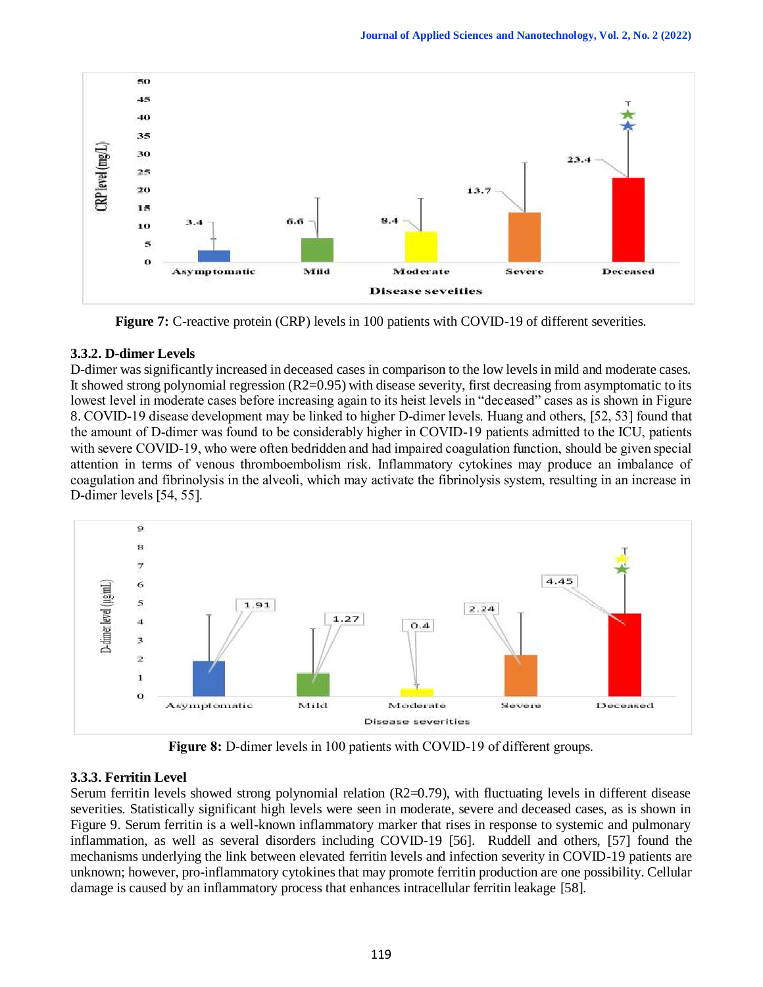

**Figure 7:** C-reactive protein (CRP) levels in 100 patients with COVID-19 of different severities.

# **3.3.2. D-dimer Levels**

D-dimer was significantly increased in deceased cases in comparison to the low levels in mild and moderate cases. It showed strong polynomial regression  $(R2=0.95)$  with disease severity, first decreasing from asymptomatic to its lowest level in moderate cases before increasing again to its heist levels in "deceased" cases as is shown in Figure 8. COVID-19 disease development may be linked to higher D-dimer levels. Huang and others, [52, 53] found that the amount of D-dimer was found to be considerably higher in COVID-19 patients admitted to the ICU, patients with severe COVID-19, who were often bedridden and had impaired coagulation function, should be given special attention in terms of venous thromboembolism risk. Inflammatory cytokines may produce an imbalance of coagulation and fibrinolysis in the alveoli, which may activate the fibrinolysis system, resulting in an increase in D-dimer levels [54, 55].



**Figure 8:** D-dimer levels in 100 patients with COVID-19 of different groups.

# **3.3.3. Ferritin Level**

Serum ferritin levels showed strong polynomial relation (R2=0.79), with fluctuating levels in different disease severities. Statistically significant high levels were seen in moderate, severe and deceased cases, as is shown in Figure 9. Serum ferritin is a well-known inflammatory marker that rises in response to systemic and pulmonary inflammation, as well as several disorders including COVID-19 [56]. Ruddell and others, [57] found the mechanisms underlying the link between elevated ferritin levels and infection severity in COVID-19 patients are unknown; however, pro-inflammatory cytokines that may promote ferritin production are one possibility. Cellular damage is caused by an inflammatory process that enhances intracellular ferritin leakage [58].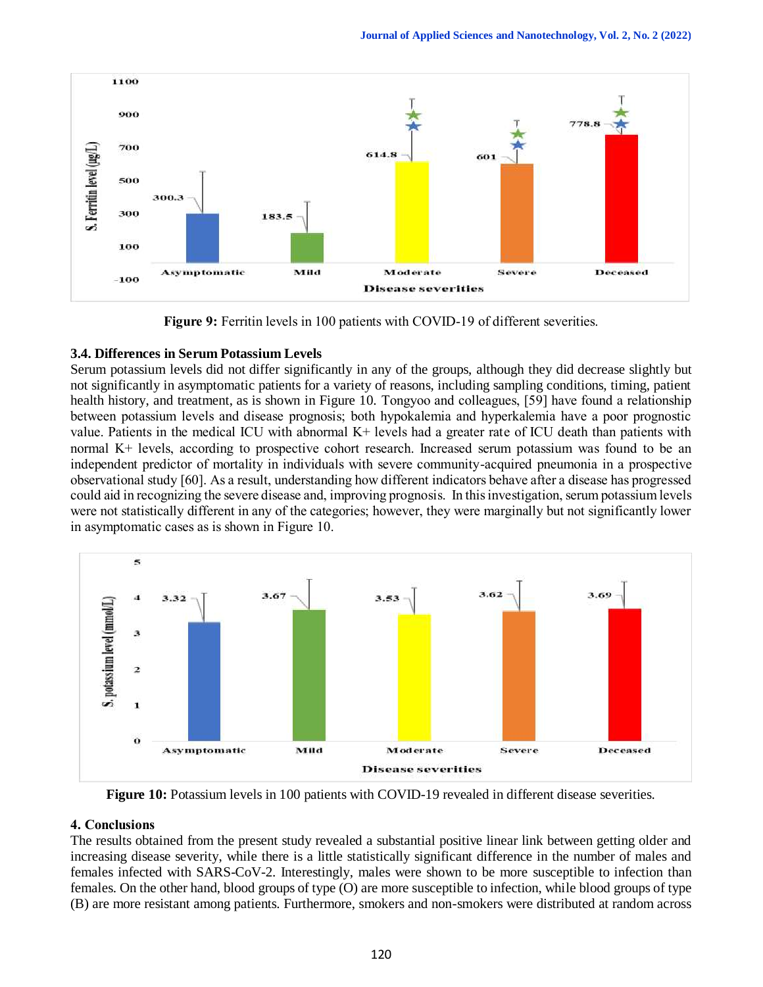

**Figure 9:** Ferritin levels in 100 patients with COVID-19 of different severities.

# **3.4. Differences in Serum Potassium Levels**

Serum potassium levels did not differ significantly in any of the groups, although they did decrease slightly but not significantly in asymptomatic patients for a variety of reasons, including sampling conditions, timing, patient health history, and treatment, as is shown in Figure 10. Tongyoo and colleagues, [59] have found a relationship between potassium levels and disease prognosis; both hypokalemia and hyperkalemia have a poor prognostic value. Patients in the medical ICU with abnormal K+ levels had a greater rate of ICU death than patients with normal K+ levels, according to prospective cohort research. Increased serum potassium was found to be an independent predictor of mortality in individuals with severe community-acquired pneumonia in a prospective observational study [60]. As a result, understanding how different indicators behave after a disease has progressed could aid in recognizing the severe disease and, improving prognosis. In this investigation, serum potassium levels were not statistically different in any of the categories; however, they were marginally but not significantly lower in asymptomatic cases as is shown in Figure 10.



**Figure 10:** Potassium levels in 100 patients with COVID-19 revealed in different disease severities.

# **4. Conclusions**

The results obtained from the present study revealed a substantial positive linear link between getting older and increasing disease severity, while there is a little statistically significant difference in the number of males and females infected with SARS-CoV-2. Interestingly, males were shown to be more susceptible to infection than females. On the other hand, blood groups of type (O) are more susceptible to infection, while blood groups of type (B) are more resistant among patients. Furthermore, smokers and non-smokers were distributed at random across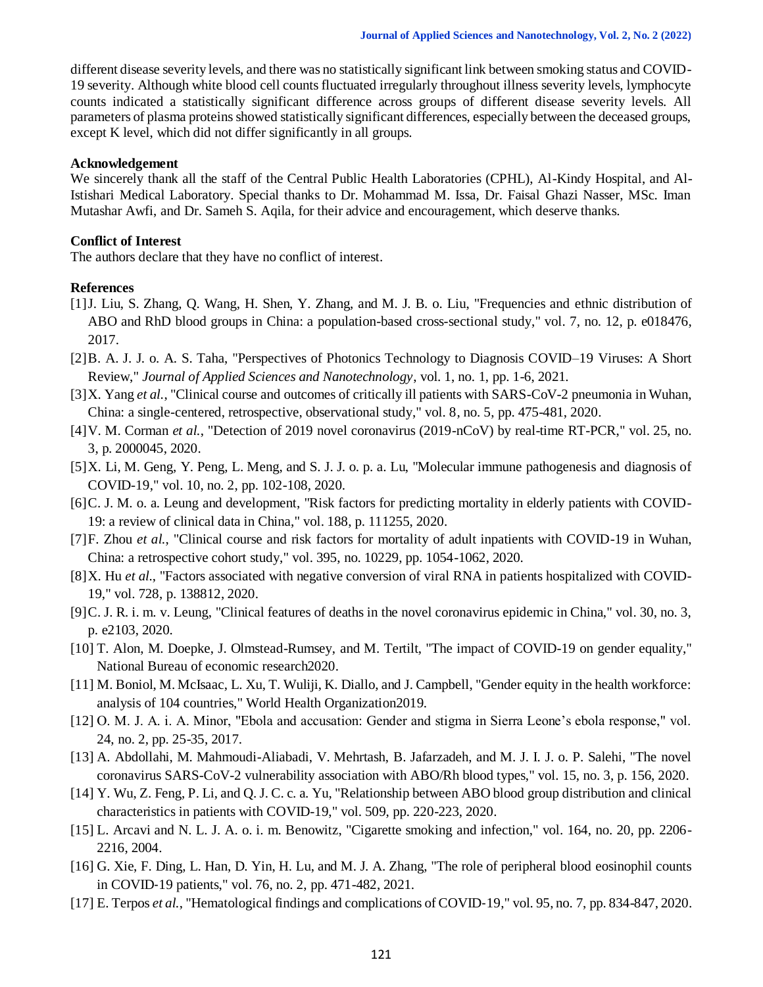different disease severity levels, and there was no statistically significant link between smoking status and COVID-19 severity. Although white blood cell counts fluctuated irregularly throughout illness severity levels, lymphocyte counts indicated a statistically significant difference across groups of different disease severity levels. All parameters of plasma proteins showed statistically significant differences, especially between the deceased groups, except K level, which did not differ significantly in all groups.

#### **Acknowledgement**

We sincerely thank all the staff of the Central Public Health Laboratories (CPHL), Al-Kindy Hospital, and Al-Istishari Medical Laboratory. Special thanks to Dr. Mohammad M. Issa, Dr. Faisal Ghazi Nasser, MSc. Iman Mutashar Awfi, and Dr. Sameh S. Aqila, for their advice and encouragement, which deserve thanks.

#### **Conflict of Interest**

The authors declare that they have no conflict of interest.

#### **References**

- [1]J. Liu, S. Zhang, Q. Wang, H. Shen, Y. Zhang, and M. J. B. o. Liu, "Frequencies and ethnic distribution of ABO and RhD blood groups in China: a population-based cross-sectional study," vol. 7, no. 12, p. e018476, 2017.
- [2]B. A. J. J. o. A. S. Taha, "Perspectives of Photonics Technology to Diagnosis COVID–19 Viruses: A Short Review," *Journal of Applied Sciences and Nanotechnology*, vol. 1, no. 1, pp. 1-6, 2021.
- [3]X. Yang *et al.*, "Clinical course and outcomes of critically ill patients with SARS-CoV-2 pneumonia in Wuhan, China: a single-centered, retrospective, observational study," vol. 8, no. 5, pp. 475-481, 2020.
- [4]V. M. Corman *et al.*, "Detection of 2019 novel coronavirus (2019-nCoV) by real-time RT-PCR," vol. 25, no. 3, p. 2000045, 2020.
- [5]X. Li, M. Geng, Y. Peng, L. Meng, and S. J. J. o. p. a. Lu, "Molecular immune pathogenesis and diagnosis of COVID-19," vol. 10, no. 2, pp. 102-108, 2020.
- [6]C. J. M. o. a. Leung and development, "Risk factors for predicting mortality in elderly patients with COVID-19: a review of clinical data in China," vol. 188, p. 111255, 2020.
- [7]F. Zhou *et al.*, "Clinical course and risk factors for mortality of adult inpatients with COVID-19 in Wuhan, China: a retrospective cohort study," vol. 395, no. 10229, pp. 1054-1062, 2020.
- [8]X. Hu *et al.*, "Factors associated with negative conversion of viral RNA in patients hospitalized with COVID-19," vol. 728, p. 138812, 2020.
- [9]C. J. R. i. m. v. Leung, "Clinical features of deaths in the novel coronavirus epidemic in China," vol. 30, no. 3, p. e2103, 2020.
- [10] T. Alon, M. Doepke, J. Olmstead-Rumsey, and M. Tertilt, "The impact of COVID-19 on gender equality," National Bureau of economic research2020.
- [11] M. Boniol, M. McIsaac, L. Xu, T. Wuliji, K. Diallo, and J. Campbell, "Gender equity in the health workforce: analysis of 104 countries," World Health Organization2019.
- [12] O. M. J. A. i. A. Minor, "Ebola and accusation: Gender and stigma in Sierra Leone's ebola response," vol. 24, no. 2, pp. 25-35, 2017.
- [13] A. Abdollahi, M. Mahmoudi-Aliabadi, V. Mehrtash, B. Jafarzadeh, and M. J. I. J. o. P. Salehi, "The novel coronavirus SARS-CoV-2 vulnerability association with ABO/Rh blood types," vol. 15, no. 3, p. 156, 2020.
- [14] Y. Wu, Z. Feng, P. Li, and Q. J. C. c. a. Yu, "Relationship between ABO blood group distribution and clinical characteristics in patients with COVID-19," vol. 509, pp. 220-223, 2020.
- [15] L. Arcavi and N. L. J. A. o. i. m. Benowitz, "Cigarette smoking and infection," vol. 164, no. 20, pp. 2206- 2216, 2004.
- [16] G. Xie, F. Ding, L. Han, D. Yin, H. Lu, and M. J. A. Zhang, "The role of peripheral blood eosinophil counts in COVID‐19 patients," vol. 76, no. 2, pp. 471-482, 2021.
- [17] E. Terpos *et al.*, "Hematological findings and complications of COVID‐19," vol. 95, no. 7, pp. 834-847, 2020.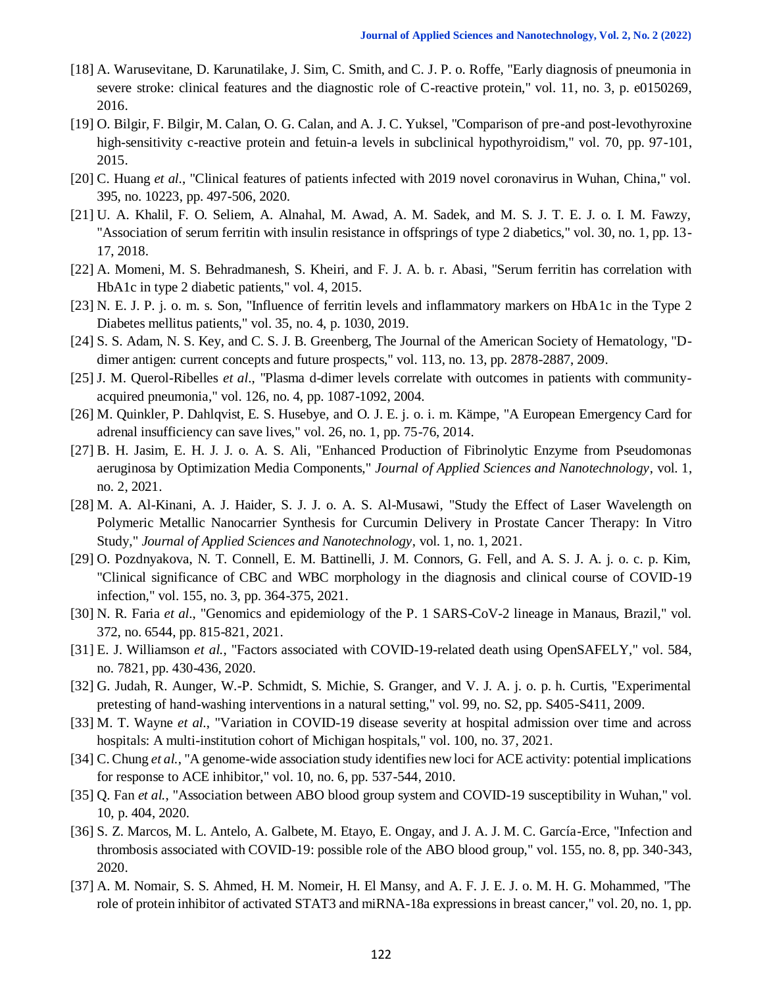- [18] A. Warusevitane, D. Karunatilake, J. Sim, C. Smith, and C. J. P. o. Roffe, "Early diagnosis of pneumonia in severe stroke: clinical features and the diagnostic role of C-reactive protein," vol. 11, no. 3, p. e0150269, 2016.
- [19] O. Bilgir, F. Bilgir, M. Calan, O. G. Calan, and A. J. C. Yuksel, "Comparison of pre-and post-levothyroxine high-sensitivity c-reactive protein and fetuin-a levels in subclinical hypothyroidism," vol. 70, pp. 97-101, 2015.
- [20] C. Huang *et al.*, "Clinical features of patients infected with 2019 novel coronavirus in Wuhan, China," vol. 395, no. 10223, pp. 497-506, 2020.
- [21] U. A. Khalil, F. O. Seliem, A. Alnahal, M. Awad, A. M. Sadek, and M. S. J. T. E. J. o. I. M. Fawzy, "Association of serum ferritin with insulin resistance in offsprings of type 2 diabetics," vol. 30, no. 1, pp. 13- 17, 2018.
- [22] A. Momeni, M. S. Behradmanesh, S. Kheiri, and F. J. A. b. r. Abasi, "Serum ferritin has correlation with HbA1c in type 2 diabetic patients," vol. 4, 2015.
- [23] N. E. J. P. j. o. m. s. Son, "Influence of ferritin levels and inflammatory markers on HbA1c in the Type 2 Diabetes mellitus patients," vol. 35, no. 4, p. 1030, 2019.
- [24] S. S. Adam, N. S. Key, and C. S. J. B. Greenberg, The Journal of the American Society of Hematology, "Ddimer antigen: current concepts and future prospects," vol. 113, no. 13, pp. 2878-2887, 2009.
- [25] J. M. Querol-Ribelles *et al.*, "Plasma d-dimer levels correlate with outcomes in patients with communityacquired pneumonia," vol. 126, no. 4, pp. 1087-1092, 2004.
- [26] M. Quinkler, P. Dahlqvist, E. S. Husebye, and O. J. E. j. o. i. m. Kämpe, "A European Emergency Card for adrenal insufficiency can save lives," vol. 26, no. 1, pp. 75-76, 2014.
- [27] B. H. Jasim, E. H. J. J. o. A. S. Ali, "Enhanced Production of Fibrinolytic Enzyme from Pseudomonas aeruginosa by Optimization Media Components," *Journal of Applied Sciences and Nanotechnology*, vol. 1, no. 2, 2021.
- [28] M. A. Al-Kinani, A. J. Haider, S. J. J. o. A. S. Al-Musawi, "Study the Effect of Laser Wavelength on Polymeric Metallic Nanocarrier Synthesis for Curcumin Delivery in Prostate Cancer Therapy: In Vitro Study," *Journal of Applied Sciences and Nanotechnology*, vol. 1, no. 1, 2021.
- [29] O. Pozdnyakova, N. T. Connell, E. M. Battinelli, J. M. Connors, G. Fell, and A. S. J. A. j. o. c. p. Kim, "Clinical significance of CBC and WBC morphology in the diagnosis and clinical course of COVID-19 infection," vol. 155, no. 3, pp. 364-375, 2021.
- [30] N. R. Faria *et al.*, "Genomics and epidemiology of the P. 1 SARS-CoV-2 lineage in Manaus, Brazil," vol. 372, no. 6544, pp. 815-821, 2021.
- [31] E. J. Williamson *et al.*, "Factors associated with COVID-19-related death using OpenSAFELY," vol. 584, no. 7821, pp. 430-436, 2020.
- [32] G. Judah, R. Aunger, W.-P. Schmidt, S. Michie, S. Granger, and V. J. A. j. o. p. h. Curtis, "Experimental pretesting of hand-washing interventions in a natural setting," vol. 99, no. S2, pp. S405-S411, 2009.
- [33] M. T. Wayne *et al.*, "Variation in COVID-19 disease severity at hospital admission over time and across hospitals: A multi-institution cohort of Michigan hospitals," vol. 100, no. 37, 2021.
- [34] C. Chung *et al.*, "A genome-wide association study identifies new loci for ACE activity: potential implications for response to ACE inhibitor," vol. 10, no. 6, pp. 537-544, 2010.
- [35] Q. Fan *et al.*, "Association between ABO blood group system and COVID-19 susceptibility in Wuhan," vol. 10, p. 404, 2020.
- [36] S. Z. Marcos, M. L. Antelo, A. Galbete, M. Etayo, E. Ongay, and J. A. J. M. C. García-Erce, "Infection and thrombosis associated with COVID-19: possible role of the ABO blood group," vol. 155, no. 8, pp. 340-343, 2020.
- [37] A. M. Nomair, S. S. Ahmed, H. M. Nomeir, H. El Mansy, and A. F. J. E. J. o. M. H. G. Mohammed, "The role of protein inhibitor of activated STAT3 and miRNA-18a expressions in breast cancer," vol. 20, no. 1, pp.